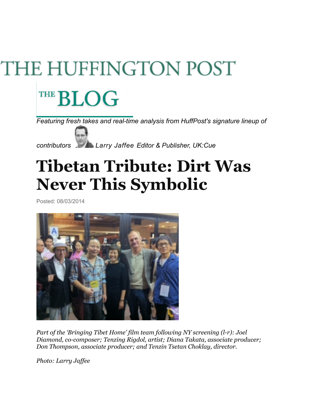## THE HUFFINGTON POST

## THE **BLOG**

*Featuring fresh takes and real-time analysis from HuffPost's signature lineup of* 



*contributors [Larry Jaffee](http://www.huffingtonpost.com/larry-jaffee) Editor & Publisher, UK:Cue* 

## **Tibetan Tribute: Dirt Was Never This Symbolic**

Posted: 08/03/2014



*Part of the 'Bringing Tibet Home' film team following NY screening (l-r): Joel Diamond, co-composer; Tenzing Rigdol, artist; Diana Takata, associate producer; Don Thompson, associate producer; and Tenzin Tsetan Choklay, director.* 

*Photo: Larry Jaffee*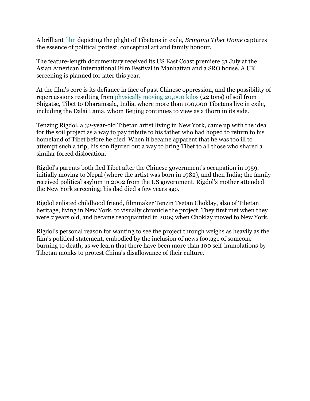A brilliant film depicting the plight of Tibetans in exile, *Bringing Tibet Home* captures the essence of political protest, conceptual art and family honour.

The feature-length documentary received its US East Coast premiere 31 July at the Asian American International Film Festival in Manhattan and a SRO house. A UK screening is planned for later this year.

At the film's core is its defiance in face of past Chinese oppression, and the possibility of repercussions resulting from physically moving 20,000 kilos (22 tons) of soil from Shigatse, Tibet to Dharamsala, India, where more than 100,000 Tibetans live in exile, including the Dalai Lama, whom Beijing continues to view as a thorn in its side.

Tenzing Rigdol, a 32-year-old Tibetan artist living in New York, came up with the idea for the soil project as a way to pay tribute to his father who had hoped to return to his homeland of Tibet before he died. When it became apparent that he was too ill to attempt such a trip, his son figured out a way to bring Tibet to all those who shared a similar forced dislocation.

Rigdol's parents both fled Tibet after the Chinese government's occupation in 1959, initially moving to Nepal (where the artist was born in 1982), and then India; the family received political asylum in 2002 from the US government. Rigdol's mother attended the New York screening; his dad died a few years ago.

Rigdol enlisted childhood friend, filmmaker Tenzin Tsetan Choklay, also of Tibetan heritage, living in New York, to visually chronicle the project. They first met when they were 7 years old, and became reacquainted in 2009 when Choklay moved to New York.

Rigdol's personal reason for wanting to see the project through weighs as heavily as the film's political statement, embodied by the inclusion of news footage of someone burning to death, as we learn that there have been more than 100 self-immolations by Tibetan monks to protest China's disallowance of their culture.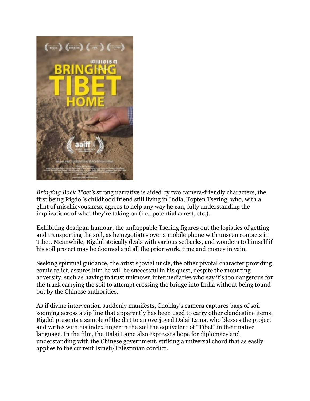

*Bringing Back Tibet's* strong narrative is aided by two camera-friendly characters, the first being Rigdol's childhood friend still living in India, Topten Tsering, who, with a glint of mischievousness, agrees to help any way he can, fully understanding the implications of what they're taking on (i.e., potential arrest, etc.).

Exhibiting deadpan humour, the unflappable Tsering figures out the logistics of getting and transporting the soil, as he negotiates over a mobile phone with unseen contacts in Tibet. Meanwhile, Rigdol stoically deals with various setbacks, and wonders to himself if his soil project may be doomed and all the prior work, time and money in vain.

Seeking spiritual guidance, the artist's jovial uncle, the other pivotal character providing comic relief, assures him he will be successful in his quest, despite the mounting adversity, such as having to trust unknown intermediaries who say it's too dangerous for the truck carrying the soil to attempt crossing the bridge into India without being found out by the Chinese authorities.

As if divine intervention suddenly manifests, Choklay's camera captures bags of soil zooming across a zip line that apparently has been used to carry other clandestine items. Rigdol presents a sample of the dirt to an overjoyed Dalai Lama, who blesses the project and writes with his index finger in the soil the equivalent of "Tibet" in their native language. In the film, the Dalai Lama also expresses hope for diplomacy and understanding with the Chinese government, striking a universal chord that as easily applies to the current Israeli/Palestinian conflict.